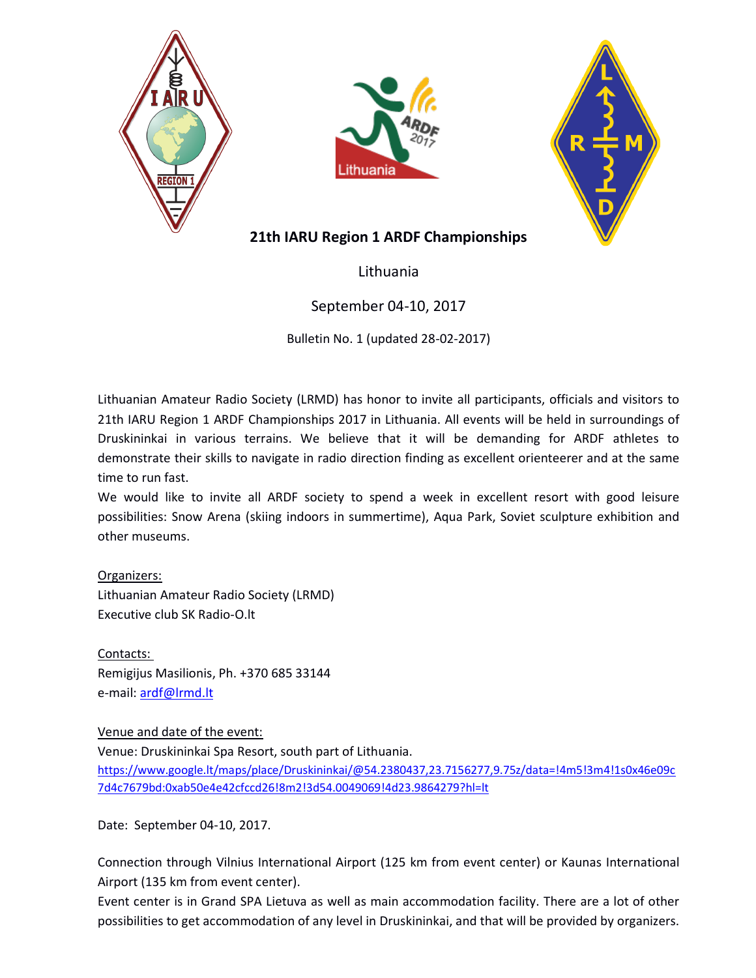





# 21th IARU Region 1 ARDF Championships

Lithuania

# September 04-10, 2017

Bulletin No. 1 (updated 28-02-2017)

Lithuanian Amateur Radio Society (LRMD) has honor to invite all participants, officials and visitors to 21th IARU Region 1 ARDF Championships 2017 in Lithuania. All events will be held in surroundings of Druskininkai in various terrains. We believe that it will be demanding for ARDF athletes to demonstrate their skills to navigate in radio direction finding as excellent orienteerer and at the same time to run fast.

We would like to invite all ARDF society to spend a week in excellent resort with good leisure possibilities: Snow Arena (skiing indoors in summertime), Aqua Park, Soviet sculpture exhibition and other museums.

## Organizers:

Lithuanian Amateur Radio Society (LRMD) Executive club SK Radio-O.lt

Contacts: Remigijus Masilionis, Ph. +370 685 33144 e-mail: ardf@lrmd.lt

## Venue and date of the event:

Venue: Druskininkai Spa Resort, south part of Lithuania. https://www.google.lt/maps/place/Druskininkai/@54.2380437,23.7156277,9.75z/data=!4m5!3m4!1s0x46e09c 7d4c7679bd:0xab50e4e42cfccd26!8m2!3d54.0049069!4d23.9864279?hl=lt

Date: September 04-10, 2017.

Connection through Vilnius International Airport (125 km from event center) or Kaunas International Airport (135 km from event center).

Event center is in Grand SPA Lietuva as well as main accommodation facility. There are a lot of other possibilities to get accommodation of any level in Druskininkai, and that will be provided by organizers.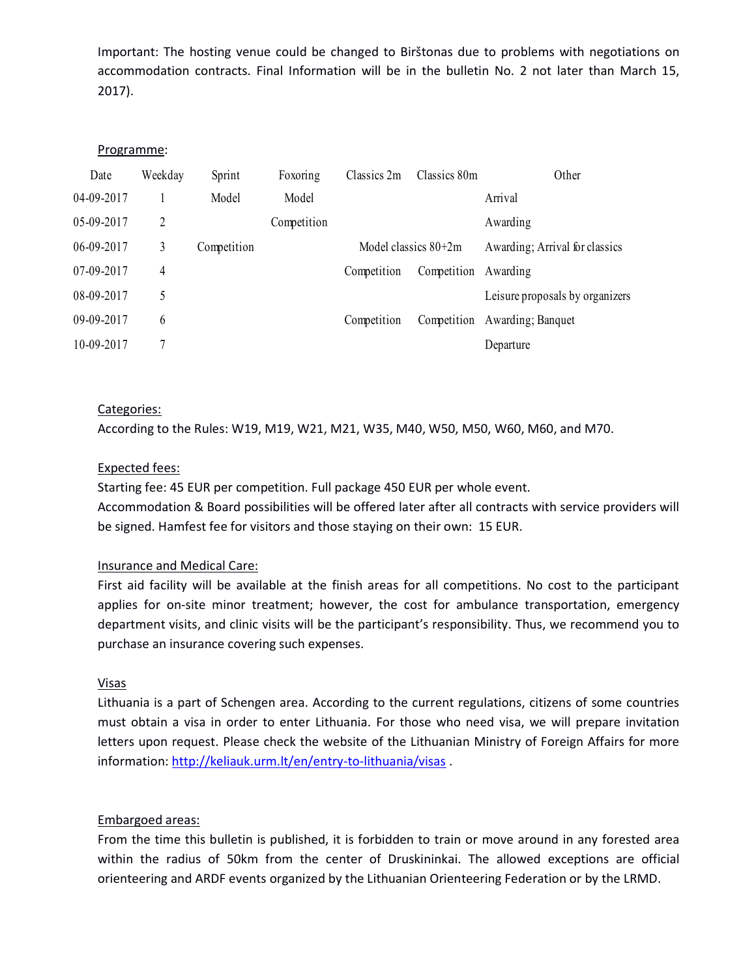### Programme:

|            |                |             |             |             |                      | Important: The hosting venue could be changed to Birštonas due to problems with negotiations on   |
|------------|----------------|-------------|-------------|-------------|----------------------|---------------------------------------------------------------------------------------------------|
|            |                |             |             |             |                      | accommodation contracts. Final Information will be in the bulletin No. 2 not later than March 15, |
| $2017$ ).  |                |             |             |             |                      |                                                                                                   |
|            |                |             |             |             |                      |                                                                                                   |
| Programme: |                |             |             |             |                      |                                                                                                   |
| Date       | Weekday        | Sprint      | Foxoring    | Classics 2m | Classics 80m         | Other                                                                                             |
| 04-09-2017 | -1             | Model       | Model       |             |                      | Arrival                                                                                           |
| 05-09-2017 | $\overline{2}$ |             | Competition |             |                      | Awarding                                                                                          |
| 06-09-2017 | $\mathfrak{Z}$ | Competition |             |             | Model classics 80+2m | Awarding; Arrival for classics                                                                    |
| 07-09-2017 | $\overline{4}$ |             |             | Competition | Competition          | Awarding                                                                                          |
| 08-09-2017 | 5              |             |             |             |                      | Leisure proposals by organizers                                                                   |
| 09-09-2017 | 6              |             |             | Competition |                      | Competition Awarding; Banquet                                                                     |
| 10-09-2017 | $\overline{7}$ |             |             |             |                      | Departure                                                                                         |
|            |                |             |             |             |                      |                                                                                                   |
|            |                |             |             |             |                      |                                                                                                   |
|            | Categories:    |             |             |             |                      |                                                                                                   |

### Categories:

According to the Rules: W19, M19, W21, M21, W35, M40, W50, M50, W60, M60, and M70.

#### Expected fees:

Starting fee: 45 EUR per competition. Full package 450 EUR per whole event. Accommodation & Board possibilities will be offered later after all contracts with service providers will be signed. Hamfest fee for visitors and those staying on their own: 15 EUR.

#### Insurance and Medical Care:

First aid facility will be available at the finish areas for all competitions. No cost to the participant applies for on-site minor treatment; however, the cost for ambulance transportation, emergency department visits, and clinic visits will be the participant's responsibility. Thus, we recommend you to purchase an insurance covering such expenses.

#### Visas

Lithuania is a part of Schengen area. According to the current regulations, citizens of some countries must obtain a visa in order to enter Lithuania. For those who need visa, we will prepare invitation letters upon request. Please check the website of the Lithuanian Ministry of Foreign Affairs for more information: http://keliauk.urm.lt/en/entry-to-lithuania/visas .

#### Embargoed areas:

From the time this bulletin is published, it is forbidden to train or move around in any forested area within the radius of 50km from the center of Druskininkai. The allowed exceptions are official orienteering and ARDF events organized by the Lithuanian Orienteering Federation or by the LRMD.